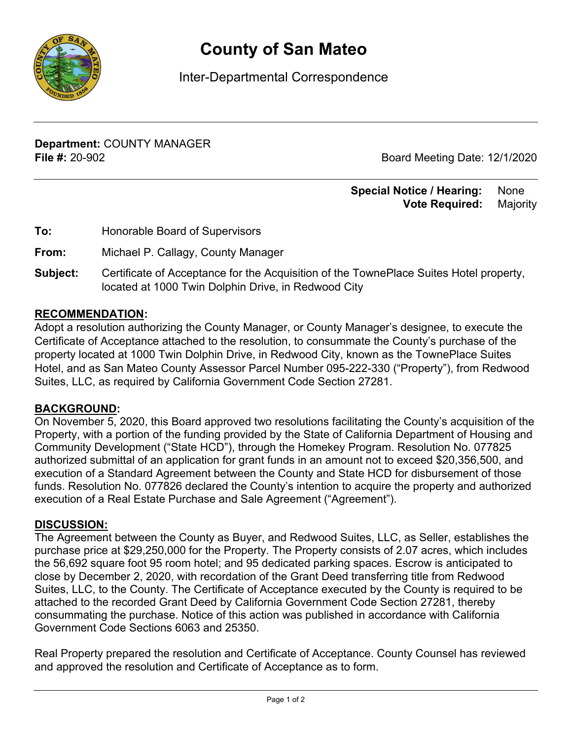

# **County of San Mateo**

Inter-Departmental Correspondence

**Department:** COUNTY MANAGER **File #:** 20-902 Board Meeting Date: 12/1/2020

#### **Special Notice / Hearing:** None  **Vote Required:** Majority

| Honorable Board of Supervisors |
|--------------------------------|
|                                |

**From:** Michael P. Callagy, County Manager

**Subject:** Certificate of Acceptance for the Acquisition of the TownePlace Suites Hotel property, located at 1000 Twin Dolphin Drive, in Redwood City

#### **RECOMMENDATION:**

Adopt a resolution authorizing the County Manager, or County Manager's designee, to execute the Certificate of Acceptance attached to the resolution, to consummate the County's purchase of the property located at 1000 Twin Dolphin Drive, in Redwood City, known as the TownePlace Suites Hotel, and as San Mateo County Assessor Parcel Number 095-222-330 ("Property"), from Redwood Suites, LLC, as required by California Government Code Section 27281.

#### **BACKGROUND:**

On November 5, 2020, this Board approved two resolutions facilitating the County's acquisition of the Property, with a portion of the funding provided by the State of California Department of Housing and Community Development ("State HCD"), through the Homekey Program. Resolution No. 077825 authorized submittal of an application for grant funds in an amount not to exceed \$20,356,500, and execution of a Standard Agreement between the County and State HCD for disbursement of those funds. Resolution No. 077826 declared the County's intention to acquire the property and authorized execution of a Real Estate Purchase and Sale Agreement ("Agreement").

### **DISCUSSION:**

The Agreement between the County as Buyer, and Redwood Suites, LLC, as Seller, establishes the purchase price at \$29,250,000 for the Property. The Property consists of 2.07 acres, which includes the 56,692 square foot 95 room hotel; and 95 dedicated parking spaces. Escrow is anticipated to close by December 2, 2020, with recordation of the Grant Deed transferring title from Redwood Suites, LLC, to the County. The Certificate of Acceptance executed by the County is required to be attached to the recorded Grant Deed by California Government Code Section 27281, thereby consummating the purchase. Notice of this action was published in accordance with California Government Code Sections 6063 and 25350.

Real Property prepared the resolution and Certificate of Acceptance. County Counsel has reviewed and approved the resolution and Certificate of Acceptance as to form.